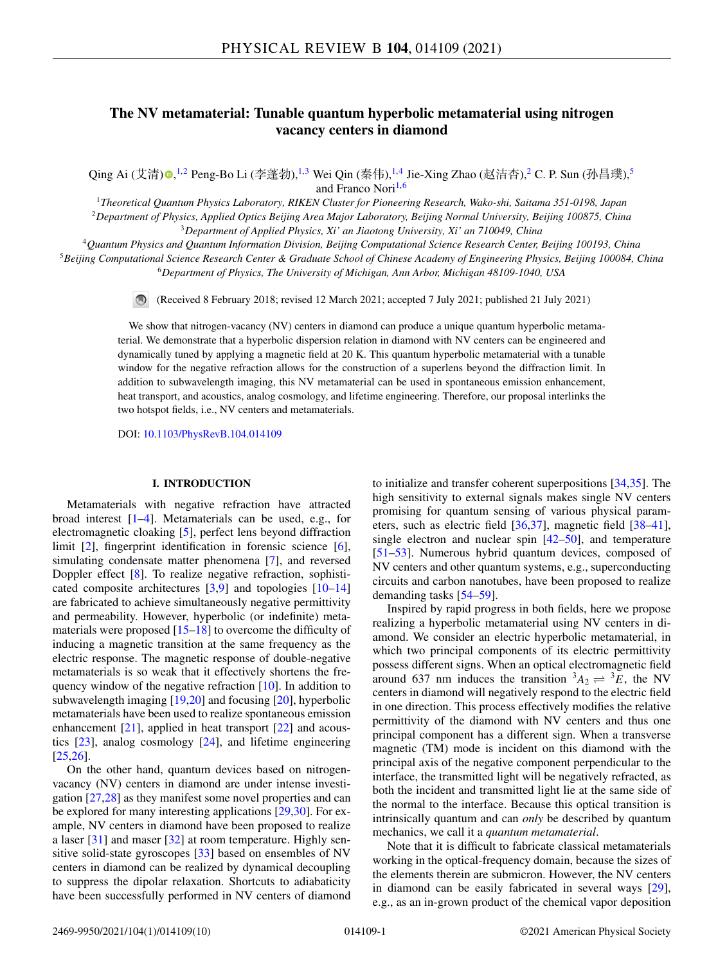# **The NV metamaterial: Tunable quantum hyperbolic metamaterial using nitrogen vacancy centers in diamond**

Qing Ai (艾清[\)](https://orcid.org/0000-0002-0116-7844)◉,½ Peng-Bo Li (李蓬勃),½ Wei Qin (秦伟),½ Jie-Xing Zhao (赵洁杏), 2 C. P. Sun (孙昌璞), 5 and Franco Nori<sup>1,6</sup>

<sup>1</sup>*Theoretical Quantum Physics Laboratory, RIKEN Cluster for Pioneering Research, Wako-shi, Saitama 351-0198, Japan* <sup>2</sup>*Department of Physics, Applied Optics Beijing Area Major Laboratory, Beijing Normal University, Beijing 100875, China* <sup>3</sup>*Department of Applied Physics, Xi' an Jiaotong University, Xi' an 710049, China*

<sup>4</sup>*Quantum Physics and Quantum Information Division, Beijing Computational Science Research Center, Beijing 100193, China* <sup>5</sup>*Beijing Computational Science Research Center & Graduate School of Chinese Academy of Engineering Physics, Beijing 100084, China* <sup>6</sup>*Department of Physics, The University of Michigan, Ann Arbor, Michigan 48109-1040, USA*

(Received 8 February 2018; revised 12 March 2021; accepted 7 July 2021; published 21 July 2021)

We show that nitrogen-vacancy (NV) centers in diamond can produce a unique quantum hyperbolic metamaterial. We demonstrate that a hyperbolic dispersion relation in diamond with NV centers can be engineered and dynamically tuned by applying a magnetic field at 20 K. This quantum hyperbolic metamaterial with a tunable window for the negative refraction allows for the construction of a superlens beyond the diffraction limit. In addition to subwavelength imaging, this NV metamaterial can be used in spontaneous emission enhancement, heat transport, and acoustics, analog cosmology, and lifetime engineering. Therefore, our proposal interlinks the two hotspot fields, i.e., NV centers and metamaterials.

DOI: [10.1103/PhysRevB.104.014109](https://doi.org/10.1103/PhysRevB.104.014109)

# **I. INTRODUCTION**

Metamaterials with negative refraction have attracted broad interest [\[1–4\]](#page-7-0). Metamaterials can be used, e.g., for electromagnetic cloaking [\[5\]](#page-7-0), perfect lens beyond diffraction limit [\[2\]](#page-7-0), fingerprint identification in forensic science [\[6\]](#page-7-0), simulating condensate matter phenomena [\[7\]](#page-7-0), and reversed Doppler effect [\[8\]](#page-7-0). To realize negative refraction, sophisticated composite architectures [\[3,9\]](#page-7-0) and topologies [\[10–14\]](#page-7-0) are fabricated to achieve simultaneously negative permittivity and permeability. However, hyperbolic (or indefinite) metamaterials were proposed [\[15–18\]](#page-7-0) to overcome the difficulty of inducing a magnetic transition at the same frequency as the electric response. The magnetic response of double-negative metamaterials is so weak that it effectively shortens the fre-quency window of the negative refraction [\[10\]](#page-7-0). In addition to subwavelength imaging [\[19,20\]](#page-7-0) and focusing [\[20\]](#page-7-0), hyperbolic metamaterials have been used to realize spontaneous emission enhancement [\[21\]](#page-7-0), applied in heat transport [\[22\]](#page-7-0) and acoustics [\[23\]](#page-7-0), analog cosmology [\[24\]](#page-7-0), and lifetime engineering [\[25,26\]](#page-7-0).

On the other hand, quantum devices based on nitrogenvacancy (NV) centers in diamond are under intense investigation [\[27,28\]](#page-7-0) as they manifest some novel properties and can be explored for many interesting applications [\[29,30\]](#page-7-0). For example, NV centers in diamond have been proposed to realize a laser [\[31\]](#page-7-0) and maser [\[32\]](#page-7-0) at room temperature. Highly sensitive solid-state gyroscopes [\[33\]](#page-7-0) based on ensembles of NV centers in diamond can be realized by dynamical decoupling to suppress the dipolar relaxation. Shortcuts to adiabaticity have been successfully performed in NV centers of diamond

to initialize and transfer coherent superpositions [\[34,35\]](#page-7-0). The high sensitivity to external signals makes single NV centers promising for quantum sensing of various physical parameters, such as electric field [\[36,37\]](#page-7-0), magnetic field [\[38](#page-7-0)[–41\]](#page-8-0), single electron and nuclear spin  $[42-50]$ , and temperature [\[51–53\]](#page-8-0). Numerous hybrid quantum devices, composed of NV centers and other quantum systems, e.g., superconducting circuits and carbon nanotubes, have been proposed to realize demanding tasks [\[54–59\]](#page-8-0).

Inspired by rapid progress in both fields, here we propose realizing a hyperbolic metamaterial using NV centers in diamond. We consider an electric hyperbolic metamaterial, in which two principal components of its electric permittivity possess different signs. When an optical electromagnetic field around 637 nm induces the transition  ${}^3A_2 \rightleftharpoons {}^3E$ , the NV centers in diamond will negatively respond to the electric field in one direction. This process effectively modifies the relative permittivity of the diamond with NV centers and thus one principal component has a different sign. When a transverse magnetic (TM) mode is incident on this diamond with the principal axis of the negative component perpendicular to the interface, the transmitted light will be negatively refracted, as both the incident and transmitted light lie at the same side of the normal to the interface. Because this optical transition is intrinsically quantum and can *only* be described by quantum mechanics, we call it a *quantum metamaterial*.

Note that it is difficult to fabricate classical metamaterials working in the optical-frequency domain, because the sizes of the elements therein are submicron. However, the NV centers in diamond can be easily fabricated in several ways [\[29\]](#page-7-0), e.g., as an in-grown product of the chemical vapor deposition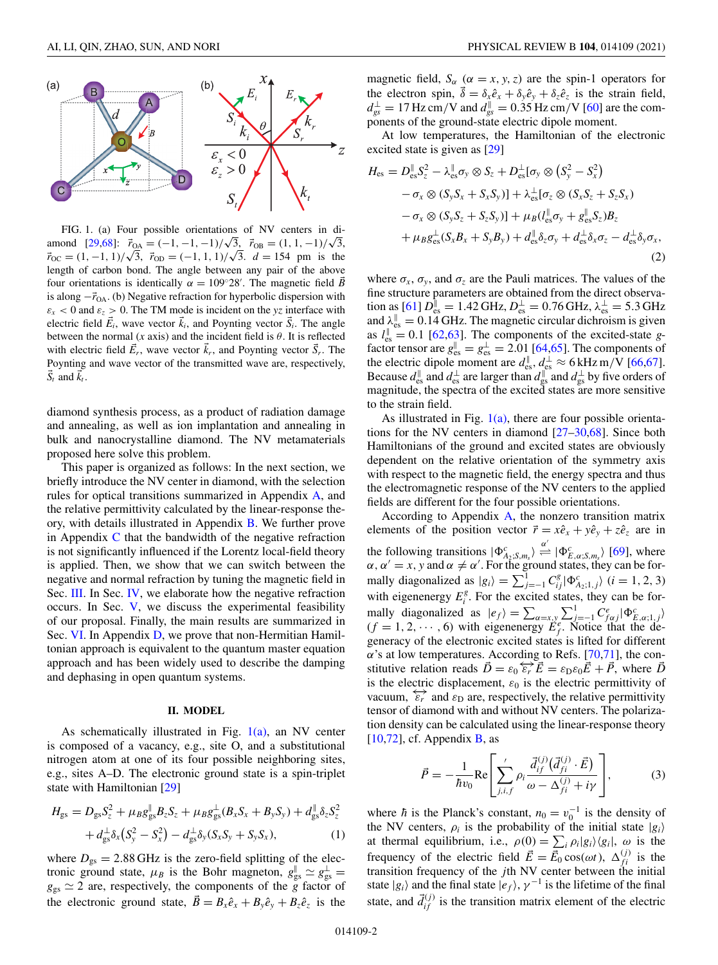<span id="page-1-0"></span>

FIG. 1. (a) Four possible orientations of NV centers in di-**PIG.** 1. (a) Four possible orientations of NV centers in diamond  $[29,68]$  $[29,68]$ :  $\vec{r}_{OA} = (-1, -1, -1)/\sqrt{3}$ ,  $\vec{r}_{OB} = (1, 1, -1)/\sqrt{3}$ , amond [29,68]:  $r_{OA} = (-1, -1, -1)/\sqrt{3}$ ,  $r_{OB} = (1, 1, -1)/\sqrt{3}$ ,  $r_{OC} = (1, -1, 1)/\sqrt{3}$ ,  $r_{OD} = (-1, 1, 1)/\sqrt{3}$ ,  $d = 154$  pm is the length of carbon bond. The angle between any pair of the above four orientations is identically  $\alpha = 109^{\circ}28'$ . The magnetic field  $\vec{B}$ is along  $-\vec{r}_{OA}$ . (b) Negative refraction for hyperbolic dispersion with  $\varepsilon_x$  < 0 and  $\varepsilon_z$  > 0. The TM mode is incident on the *yz* interface with electric field  $\vec{E}_i$ , wave vector  $\vec{k}_i$ , and Poynting vector  $\vec{S}_i$ . The angle between the normal (*x* axis) and the incident field is  $\theta$ . It is reflected with electric field  $\vec{E}_r$ , wave vector  $\vec{k}_r$ , and Poynting vector  $\vec{S}_r$ . The Poynting and wave vector of the transmitted wave are, respectively,  $\vec{S}_t$  and  $\vec{k}_t$ .

diamond synthesis process, as a product of radiation damage and annealing, as well as ion implantation and annealing in bulk and nanocrystalline diamond. The NV metamaterials proposed here solve this problem.

This paper is organized as follows: In the next section, we briefly introduce the NV center in diamond, with the selection rules for optical transitions summarized in Appendix [A,](#page-4-0) and the relative permittivity calculated by the linear-response theory, with details illustrated in Appendix [B.](#page-5-0) We further prove in Appendix  $C$  that the bandwidth of the negative refraction is not significantly influenced if the Lorentz local-field theory is applied. Then, we show that we can switch between the negative and normal refraction by tuning the magnetic field in Sec. [III.](#page-2-0) In Sec. [IV,](#page-3-0) we elaborate how the negative refraction occurs. In Sec. [V,](#page-3-0) we discuss the experimental feasibility of our proposal. Finally, the main results are summarized in Sec. [VI.](#page-4-0) In Appendix [D,](#page-6-0) we prove that non-Hermitian Hamiltonian approach is equivalent to the quantum master equation approach and has been widely used to describe the damping and dephasing in open quantum systems.

### **II. MODEL**

As schematically illustrated in Fig. 1(a), an NV center is composed of a vacancy, e.g., site O, and a substitutional nitrogen atom at one of its four possible neighboring sites, e.g., sites A–D. The electronic ground state is a spin-triplet state with Hamiltonian [\[29\]](#page-7-0)

$$
H_{gs} = D_{gs}S_{z}^{2} + \mu_{B}g_{gs}^{\parallel}B_{z}S_{z} + \mu_{B}g_{gs}^{\perp}(B_{x}S_{x} + B_{y}S_{y}) + d_{gs}^{\parallel}\delta_{z}S_{z}^{2} + d_{gs}^{\perp}\delta_{x}(S_{y}^{2} - S_{x}^{2}) - d_{gs}^{\perp}\delta_{y}(S_{x}S_{y} + S_{y}S_{x}),
$$
\n(1)

where  $D_{gs} = 2.88$  GHz is the zero-field splitting of the electronic ground state,  $\mu_B$  is the Bohr magneton,  $g_{gs}^{\parallel} \simeq g_{gs}^{\perp} =$  $g_{gs} \simeq 2$  are, respectively, the components of the  $\frac{9}{8}$  factor of the electronic ground state,  $\vec{B} = B_x \hat{e}_x + B_y \hat{e}_y + B_z \hat{e}_z$  is the magnetic field,  $S_\alpha$  ( $\alpha = x, y, z$ ) are the spin-1 operators for the electron spin,  $\vec{\delta} = \delta_x \hat{e}_x + \delta_y \hat{e}_y + \delta_z \hat{e}_z$  is the strain field,  $d_{gs}^{\perp} = 17$  Hz cm/V and  $d_{gs}^{\parallel} = 0.35$  Hz cm/V [\[60\]](#page-8-0) are the components of the ground-state electric dipole moment.

At low temperatures, the Hamiltonian of the electronic excited state is given as [\[29\]](#page-7-0)

$$
H_{\rm es} = D_{\rm es}^{\parallel} S_z^2 - \lambda_{\rm es}^{\parallel} \sigma_y \otimes S_z + D_{\rm es}^{\perp} [\sigma_y \otimes (S_y^2 - S_x^2) - \sigma_x \otimes (S_y S_x + S_x S_y)] + \lambda_{\rm es}^{\perp} [\sigma_z \otimes (S_x S_z + S_z S_x) - \sigma_x \otimes (S_y S_z + S_z S_y)] + \mu_B (l_{\rm es}^{\parallel} \sigma_y + g_{\rm es}^{\parallel} S_z) B_z + \mu_B g_{\rm es}^{\perp} (S_x B_x + S_y B_y) + d_{\rm es}^{\parallel} \delta_z \sigma_y + d_{\rm es}^{\perp} \delta_x \sigma_z - d_{\rm es}^{\perp} \delta_y \sigma_x,
$$
\n(2)

where  $\sigma_x$ ,  $\sigma_y$ , and  $\sigma_z$  are the Pauli matrices. The values of the fine structure parameters are obtained from the direct observa-tion as [\[61\]](#page-8-0)  $D_{\text{es}}^{\parallel} = 1.42 \text{ GHz}, D_{\text{es}}^{\perp} = 0.76 \text{ GHz}, \lambda_{\text{es}}^{\perp} = 5.3 \text{ GHz}$ and  $\lambda_{\text{es}}^{\parallel} = 0.14$  GHz. The magnetic circular dichroism is given as  $l_{\text{es}}^{\parallel} = 0.1$  [\[62,63\]](#page-8-0). The components of the excited-state *g*factor tensor are  $g_{\text{es}}^{\parallel} = g_{\text{es}}^{\perp} = 2.01$  [\[64,65\]](#page-8-0). The components of the electric dipole moment are  $d_{\text{es}}^{\parallel}$ ,  $d_{\text{es}}^{\perp} \approx 6 \text{ kHz m/V}$  [\[66,67\]](#page-8-0). Because  $d_{\text{es}}^{\parallel}$  and  $d_{\text{es}}^{\perp}$  are larger than  $d_{\text{gs}}^{\parallel}$  and  $d_{\text{gs}}^{\perp}$  by five orders of magnitude, the spectra of the excited states are more sensitive to the strain field.

As illustrated in Fig.  $1(a)$ , there are four possible orientations for the NV centers in diamond [\[27–30](#page-7-0)[,68\]](#page-8-0). Since both Hamiltonians of the ground and excited states are obviously dependent on the relative orientation of the symmetry axis with respect to the magnetic field, the energy spectra and thus the electromagnetic response of the NV centers to the applied fields are different for the four possible orientations.

According to Appendix  $A$ , the nonzero transition matrix elements of the position vector  $\vec{r} = x\hat{e}_x + y\hat{e}_y + z\hat{e}_z$  are in the following transitions  $|\Phi_{A_2;S,m_s}^c\rangle \stackrel{\alpha'}{=} |\Phi_{E,\alpha;S,m_s}^c\rangle$  [\[69\]](#page-8-0), where  $\alpha$ ,  $\alpha' = x$ , y and  $\alpha \neq \alpha'$ . For the ground states, they can be formally diagonalized as  $|g_i\rangle = \sum_{j=-1}^{1} C_{ij}^g |\Phi_{A_2;1,j}^c\rangle$  (*i* = 1, 2, 3) with eigenenergy  $E_i^g$ . For the excited states, they can be formally diagonalized as  $|e_f\rangle = \sum_{\alpha=x,y} \sum_{j=-1}^1 C_{f\alpha j}^e |\Phi_{E,\alpha;1,j}^c\rangle$  $(f = 1, 2, \dots, 6)$  with eigenenergy  $\ddot{E}_f^e$ . Notice that the degeneracy of the electronic excited states is lifted for different  $\alpha$ 's at low temperatures. According to Refs. [\[70,71\]](#page-9-0), the constitutive relation reads  $\vec{D} = \varepsilon_0 \overleftrightarrow{\varepsilon_r} \vec{E} = \varepsilon_{\text{D}} \varepsilon_0 \vec{E} + \vec{P}$ , where  $\vec{D}$ is the electric displacement,  $\varepsilon_0$  is the electric permittivity of vacuum,  $\epsilon_r^2$  and  $\epsilon_{\text{D}}$  are, respectively, the relative permittivity tensor of diamond with and without NV centers. The polarization density can be calculated using the linear-response theory  $[10,72]$  $[10,72]$ , cf. Appendix **B**, as

$$
\vec{P} = -\frac{1}{\hbar v_0} \text{Re} \left[ \sum_{j,i,f}^{\prime} \rho_i \frac{\vec{d}_{if}^{(j)}(\vec{d}_{fi}^{(j)} \cdot \vec{E})}{\omega - \Delta_{fi}^{(j)} + i\gamma} \right],
$$
(3)

where  $\hbar$  is the Planck's constant,  $n_0 = v_0^{-1}$  is the density of the NV centers,  $\rho_i$  is the probability of the initial state  $|g_i\rangle$ at thermal equilibrium, i.e.,  $\rho(0) = \sum_i \rho_i |g_i\rangle \langle g_i|$ ,  $\omega$  is the frequency of the electric field  $\vec{E} = \vec{E}_0 \cos(\omega t)$ ,  $\Delta_{fi}^{(j)}$  is the transition frequency of the *j*th NV center between the initial state  $|g_i\rangle$  and the final state  $|e_f\rangle$ ,  $\gamma^{-1}$  is the lifetime of the final state, and  $\vec{d}^{(j)}_{if}$  is the transition matrix element of the electric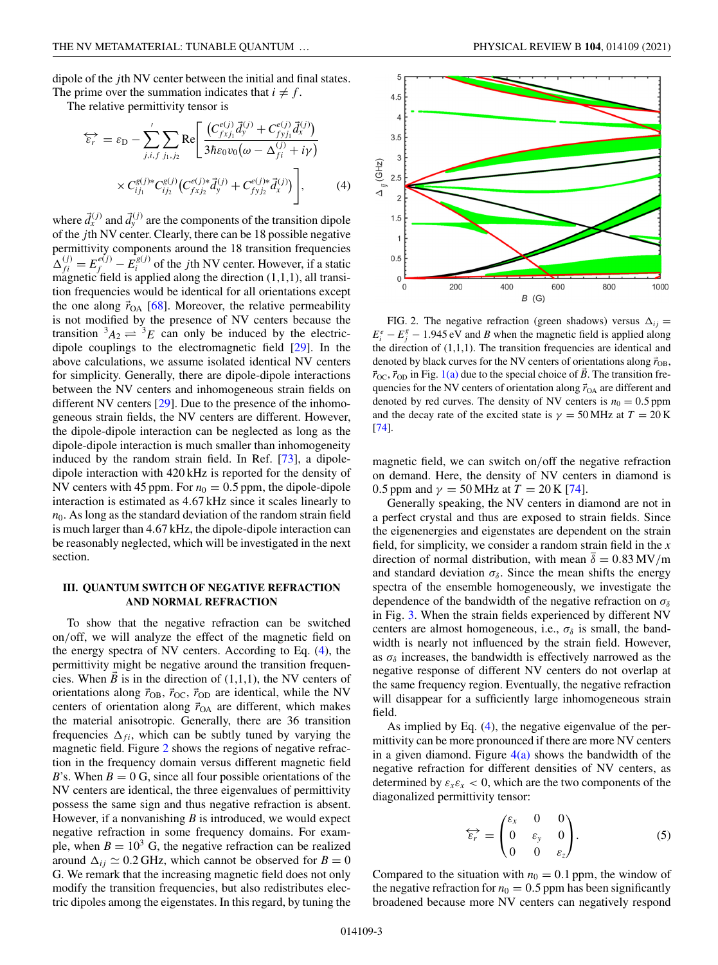<span id="page-2-0"></span>dipole of the *j*th NV center between the initial and final states. The prime over the summation indicates that  $i \neq f$ .

The relative permittivity tensor is

$$
\overleftrightarrow{\varepsilon_r} = \varepsilon_{\text{D}} - \sum'_{j,i,f} \sum_{j_1,j_2} \text{Re} \Bigg[ \frac{\left( C_{f x j_1}^{e(j)} \vec{d}_y^{(j)} + C_{f y j_1}^{e(j)} \vec{d}_x^{(j)} \right)}{3 \hbar \varepsilon_0 v_0 (\omega - \Delta_{fi}^{(j)} + i \gamma)} \times C_{i j_1}^{g(j) *} C_{i j_2}^{g(j)} \left( C_{f x j_2}^{e(j) *} \vec{d}_y^{(j)} + C_{f y j_2}^{e(j) *} \vec{d}_x^{(j)} \right) \Bigg], \tag{4}
$$

where  $\vec{d}_x^{(j)}$  and  $\vec{d}_y^{(j)}$  are the components of the transition dipole of the *j*th NV center. Clearly, there can be 18 possible negative permittivity components around the 18 transition frequencies  $\Delta_{fi}^{(j)} = E_f^{e(j)} - E_i^{g(j)}$  of the *j*th NV center. However, if a static magnetic field is applied along the direction  $(1,1,1)$ , all transition frequencies would be identical for all orientations except the one along  $\vec{r}_{OA}$  [\[68\]](#page-8-0). Moreover, the relative permeability is not modified by the presence of NV centers because the transition  ${}^3A_2 \rightleftharpoons {}^3E$  can only be induced by the electricdipole couplings to the electromagnetic field [\[29\]](#page-7-0). In the above calculations, we assume isolated identical NV centers for simplicity. Generally, there are dipole-dipole interactions between the NV centers and inhomogeneous strain fields on different NV centers [\[29\]](#page-7-0). Due to the presence of the inhomogeneous strain fields, the NV centers are different. However, the dipole-dipole interaction can be neglected as long as the dipole-dipole interaction is much smaller than inhomogeneity induced by the random strain field. In Ref. [\[73\]](#page-9-0), a dipoledipole interaction with 420 kHz is reported for the density of NV centers with 45 ppm. For  $n_0 = 0.5$  ppm, the dipole-dipole interaction is estimated as 4.67 kHz since it scales linearly to  $n<sub>0</sub>$ . As long as the standard deviation of the random strain field is much larger than 4.67 kHz, the dipole-dipole interaction can be reasonably neglected, which will be investigated in the next section.

# **III. QUANTUM SWITCH OF NEGATIVE REFRACTION AND NORMAL REFRACTION**

To show that the negative refraction can be switched on/off, we will analyze the effect of the magnetic field on the energy spectra of NV centers. According to Eq. (4), the permittivity might be negative around the transition frequencies. When  $\vec{B}$  is in the direction of (1,1,1), the NV centers of orientations along  $\vec{r}_{OB}$ ,  $\vec{r}_{OC}$ ,  $\vec{r}_{OD}$  are identical, while the NV centers of orientation along  $\vec{r}_{OA}$  are different, which makes the material anisotropic. Generally, there are 36 transition frequencies  $\Delta_{fi}$ , which can be subtly tuned by varying the magnetic field. Figure 2 shows the regions of negative refraction in the frequency domain versus different magnetic field *B*'s. When  $B = 0$  G, since all four possible orientations of the NV centers are identical, the three eigenvalues of permittivity possess the same sign and thus negative refraction is absent. However, if a nonvanishing *B* is introduced, we would expect negative refraction in some frequency domains. For example, when  $B = 10<sup>3</sup>$  G, the negative refraction can be realized around  $\Delta_{ij} \simeq 0.2$  GHz, which cannot be observed for  $B = 0$ G. We remark that the increasing magnetic field does not only modify the transition frequencies, but also redistributes electric dipoles among the eigenstates. In this regard, by tuning the





FIG. 2. The negative refraction (green shadows) versus  $\Delta_{ij} =$  $E_i^e - E_j^g - 1.945 \text{ eV}$  and *B* when the magnetic field is applied along the direction of  $(1,1,1)$ . The transition frequencies are identical and denoted by black curves for the NV centers of orientations along  $\vec{r}_{OB}$ ,  $\vec{r}_{\text{OC}}$ ,  $\vec{r}_{\text{OD}}$  in Fig. [1\(a\)](#page-1-0) due to the special choice of  $\vec{B}$ . The transition frequencies for the NV centers of orientation along  $\vec{r}_{OA}$  are different and denoted by red curves. The density of NV centers is  $n_0 = 0.5$  ppm and the decay rate of the excited state is  $\gamma = 50$  MHz at  $T = 20$  K [\[74\]](#page-9-0).

magnetic field, we can switch on/off the negative refraction on demand. Here, the density of NV centers in diamond is 0.5 ppm and  $\gamma = 50$  MHz at  $T = 20$  K [\[74\]](#page-9-0).

Generally speaking, the NV centers in diamond are not in a perfect crystal and thus are exposed to strain fields. Since the eigenenergies and eigenstates are dependent on the strain field, for simplicity, we consider a random strain field in the *x* direction of normal distribution, with mean  $\delta = 0.83 \text{ MV/m}$ and standard deviation  $\sigma_{\delta}$ . Since the mean shifts the energy spectra of the ensemble homogeneously, we investigate the dependence of the bandwidth of the negative refraction on  $\sigma_{\delta}$ in Fig. [3.](#page-3-0) When the strain fields experienced by different NV centers are almost homogeneous, i.e.,  $\sigma_{\delta}$  is small, the bandwidth is nearly not influenced by the strain field. However, as  $\sigma_{\delta}$  increases, the bandwidth is effectively narrowed as the negative response of different NV centers do not overlap at the same frequency region. Eventually, the negative refraction will disappear for a sufficiently large inhomogeneous strain field.

As implied by Eq. (4), the negative eigenvalue of the permittivity can be more pronounced if there are more NV centers in a given diamond. Figure  $4(a)$  shows the bandwidth of the negative refraction for different densities of NV centers, as determined by  $\varepsilon_x \varepsilon_x < 0$ , which are the two components of the diagonalized permittivity tensor:

$$
\overleftrightarrow{\varepsilon_r} = \begin{pmatrix} \varepsilon_x & 0 & 0 \\ 0 & \varepsilon_y & 0 \\ 0 & 0 & \varepsilon_z \end{pmatrix} . \tag{5}
$$

Compared to the situation with  $n_0 = 0.1$  ppm, the window of the negative refraction for  $n_0 = 0.5$  ppm has been significantly broadened because more NV centers can negatively respond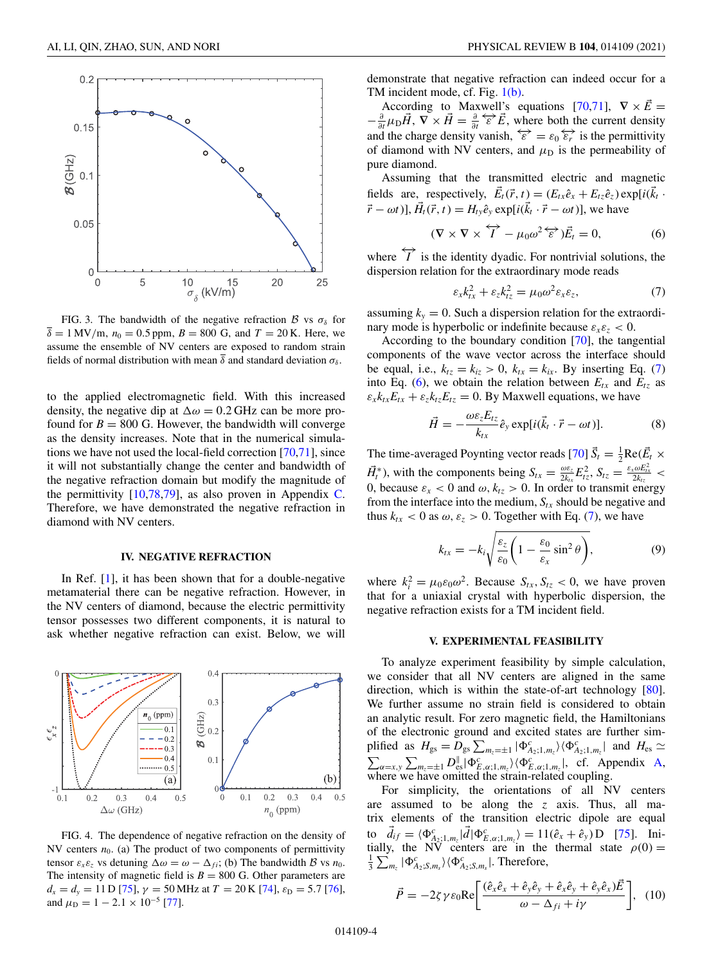<span id="page-3-0"></span>

FIG. 3. The bandwidth of the negative refraction  $\beta$  vs  $\sigma_{\delta}$  for  $\delta = 1$  MV/m,  $n_0 = 0.5$  ppm,  $B = 800$  G, and  $T = 20$  K. Here, we assume the ensemble of NV centers are exposed to random strain fields of normal distribution with mean  $\bar{\delta}$  and standard deviation  $\sigma_{\delta}$ .

to the applied electromagnetic field. With this increased density, the negative dip at  $\Delta \omega = 0.2$  GHz can be more profound for  $B = 800$  G. However, the bandwidth will converge as the density increases. Note that in the numerical simulations we have not used the local-field correction [\[70,71\]](#page-9-0), since it will not substantially change the center and bandwidth of the negative refraction domain but modify the magnitude of the permittivity  $[10,78,79]$  $[10,78,79]$ , as also proven in Appendix [C.](#page-6-0) Therefore, we have demonstrated the negative refraction in diamond with NV centers.

### **IV. NEGATIVE REFRACTION**

In Ref. [\[1\]](#page-7-0), it has been shown that for a double-negative metamaterial there can be negative refraction. However, in the NV centers of diamond, because the electric permittivity tensor possesses two different components, it is natural to ask whether negative refraction can exist. Below, we will



FIG. 4. The dependence of negative refraction on the density of NV centers  $n_0$ . (a) The product of two components of permittivity tensor  $\varepsilon_x \varepsilon_z$  vs detuning  $\Delta \omega = \omega - \Delta_{fi}$ ; (b) The bandwidth B vs  $n_0$ . The intensity of magnetic field is  $B = 800$  G. Other parameters are  $d_x = d_y = 11 \text{ D } [75]$  $d_x = d_y = 11 \text{ D } [75]$ ,  $\gamma = 50 \text{ MHz}$  at  $T = 20 \text{ K } [74]$  $T = 20 \text{ K } [74]$ ,  $\varepsilon_D = 5.7$  [\[76\]](#page-9-0), and  $\mu_{\rm D} = 1 - 2.1 \times 10^{-5}$  [\[77\]](#page-9-0).

demonstrate that negative refraction can indeed occur for a TM incident mode, cf. Fig. [1\(b\).](#page-1-0)

According to Maxwell's equations [\[70,71\]](#page-9-0),  $\nabla \times \vec{E} =$  $-\frac{\partial}{\partial t}\mu_D \vec{H}$ ,  $\nabla \times \vec{H} = \frac{\partial}{\partial t} \vec{\epsilon} \vec{\epsilon} \vec{E}$ , where both the current density and the charge density vanish,  $\overleftrightarrow{\varepsilon} = \varepsilon_0 \overleftrightarrow{\varepsilon_r}$  is the permittivity of diamond with NV centers, and  $\mu_D$  is the permeability of pure diamond.

Assuming that the transmitted electric and magnetic fields are, respectively,  $\vec{E}_t(\vec{r}, t) = (E_{tx}\hat{e}_x + E_{tz}\hat{e}_z) \exp[i(\vec{k}_t - \hat{e}_z)]$  $(\vec{r} - \omega t)$ ],  $\vec{H}_t(\vec{r}, t) = H_{t}e^{\hat{\phi}}$ ,  $\exp[i(\vec{k}_t \cdot \vec{r} - \omega t)]$ , we have

$$
(\nabla \times \nabla \times \overleftrightarrow{I} - \mu_0 \omega^2 \overleftrightarrow{\varepsilon}) \vec{E}_t = 0, \tag{6}
$$

where  $\overrightarrow{I}$  is the identity dyadic. For nontrivial solutions, the dispersion relation for the extraordinary mode reads

$$
\varepsilon_{x}k_{tx}^{2} + \varepsilon_{z}k_{tz}^{2} = \mu_{0}\omega^{2}\varepsilon_{x}\varepsilon_{z},\tag{7}
$$

assuming  $k_y = 0$ . Such a dispersion relation for the extraordinary mode is hyperbolic or indefinite because  $\varepsilon_x \varepsilon_z < 0$ .

According to the boundary condition [\[70\]](#page-9-0), the tangential components of the wave vector across the interface should be equal, i.e.,  $k_{tz} = k_{iz} > 0$ ,  $k_{tx} = k_{ix}$ . By inserting Eq. (7) into Eq. (6), we obtain the relation between  $E_{tx}$  and  $E_{tz}$  as  $\varepsilon_x k_{tx} E_{tx} + \varepsilon_z k_{tz} E_{tz} = 0$ . By Maxwell equations, we have

$$
\vec{H} = -\frac{\omega \varepsilon_z E_{tz}}{k_{tx}} \hat{e}_y \exp[i(\vec{k}_t \cdot \vec{r} - \omega t)]. \tag{8}
$$

The time-averaged Poynting vector reads [\[70\]](#page-9-0)  $\vec{S}_t = \frac{1}{2} \text{Re}(\vec{E}_t \times \vec{E}_t)$  $\vec{H}_t^*$ ), with the components being  $S_{tx} = \frac{\omega \varepsilon_z}{2k_{tx}} E_{tz}^2$ ,  $S_{tz} = \frac{\varepsilon_x \omega E_{tx}^2}{2k_{tz}}$ 0, because  $\varepsilon_x < 0$  and  $\omega$ ,  $k_{tz} > 0$ . In order to transmit energy from the interface into the medium,  $S_{tx}$  should be negative and thus  $k_{tx}$  < 0 as  $\omega$ ,  $\varepsilon_z$  > 0. Together with Eq. (7), we have

$$
k_{tx} = -k_i \sqrt{\frac{\varepsilon_z}{\varepsilon_0} \left( 1 - \frac{\varepsilon_0}{\varepsilon_x} \sin^2 \theta \right)},
$$
(9)

where  $k_i^2 = \mu_0 \varepsilon_0 \omega^2$ . Because  $S_{tx}$ ,  $S_{tz} < 0$ , we have proven that for a uniaxial crystal with hyperbolic dispersion, the negative refraction exists for a TM incident field.

### **V. EXPERIMENTAL FEASIBILITY**

To analyze experiment feasibility by simple calculation, we consider that all NV centers are aligned in the same direction, which is within the state-of-art technology [\[80\]](#page-9-0). We further assume no strain field is considered to obtain an analytic result. For zero magnetic field, the Hamiltonians of the electronic ground and excited states are further simplified as  $H_{gs} = D_{gs} \sum_{m_z=\pm 1} |\Phi_{A_2;1,m_z}^c\rangle \langle \Phi_{A_2;1,m_z}^c|$  and  $H_{es} \simeq$  $\sum_{\alpha=x,y}\sum_{m_z=\pm 1}D_{\text{es}}^{\parallel}|\Phi_{E,\alpha;1,m_z}^c\rangle\langle \Phi_{E,\alpha;1,m_z}^c|, \text{ cf. Appendix A,}$  $\sum_{\alpha=x,y}\sum_{m_z=\pm 1}D_{\text{es}}^{\parallel}|\Phi_{E,\alpha;1,m_z}^c\rangle\langle \Phi_{E,\alpha;1,m_z}^c|, \text{ cf. Appendix A,}$  $\sum_{\alpha=x,y}\sum_{m_z=\pm 1}D_{\text{es}}^{\parallel}|\Phi_{E,\alpha;1,m_z}^c\rangle\langle \Phi_{E,\alpha;1,m_z}^c|, \text{ cf. Appendix A,}$ where we have omitted the strain-related coupling.

For simplicity, the orientations of all NV centers are assumed to be along the *z* axis. Thus, all matrix elements of the transition electric dipole are equal to  $\vec{d}_{if} = \langle \Phi_{A_2;1,m_z}^c | \vec{d} | \Phi_{E,\alpha;1,m_z}^c \rangle = 11(\hat{e}_x + \hat{e}_y) \text{D}$  [\[75\]](#page-9-0). Initially, the NV centers are in the thermal state  $\rho(0) =$ <br> $\frac{1}{2} \sum \rho_0 e^{i \pi/2}$  | Therefore  $\frac{1}{3} \sum_{m_z} |\Phi_{A_2;S,m_s}^c\rangle \langle \Phi_{A_2;S,m_s}^c|$ . Therefore,

$$
\vec{P} = -2\zeta \gamma \varepsilon_0 \text{Re} \left[ \frac{(\hat{e}_x \hat{e}_x + \hat{e}_y \hat{e}_y + \hat{e}_x \hat{e}_y + \hat{e}_y \hat{e}_x) \vec{E}}{\omega - \Delta_{fi} + i\gamma} \right], \quad (10)
$$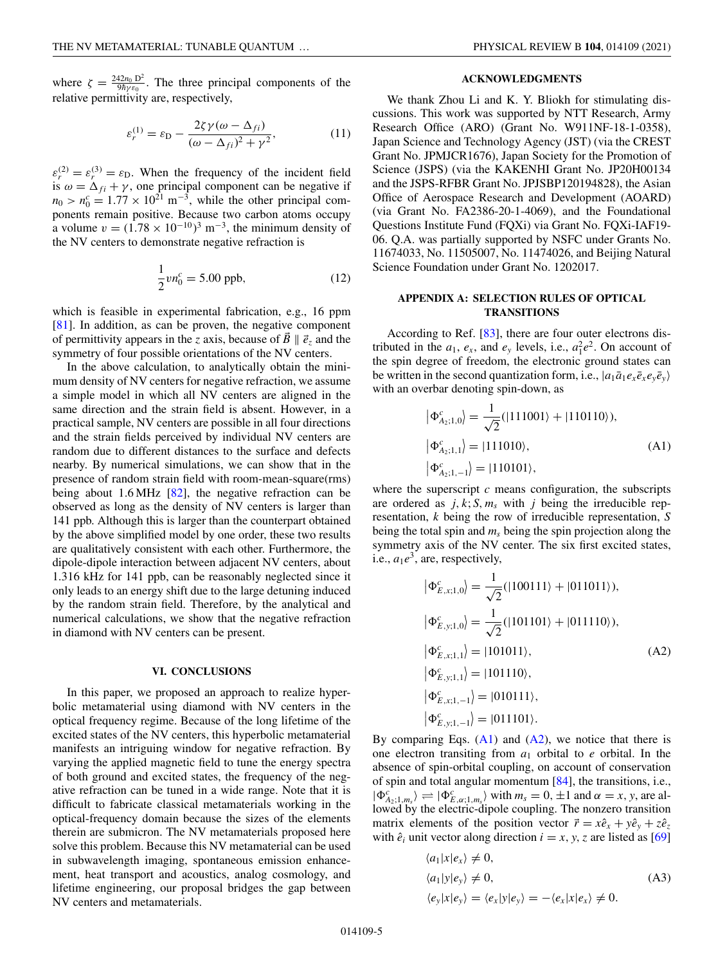<span id="page-4-0"></span>where  $\zeta = \frac{242n_0 D^2}{9\hbar \gamma \varepsilon_0}$ . The three principal components of the relative permittivity are, respectively,

$$
\varepsilon_r^{(1)} = \varepsilon_{\rm D} - \frac{2\zeta\gamma(\omega - \Delta_{fi})}{(\omega - \Delta_{fi})^2 + \gamma^2},\tag{11}
$$

 $\varepsilon_r^{(2)} = \varepsilon_r^{(3)} = \varepsilon_{\text{D}}$ . When the frequency of the incident field is  $\omega = \Delta_{fi} + \gamma$ , one principal component can be negative if  $n_0 > n_0^c = 1.77 \times 10^{21} \text{ m}^{-3}$ , while the other principal components remain positive. Because two carbon atoms occupy a volume  $v = (1.78 \times 10^{-10})^3$  m<sup>-3</sup>, the minimum density of the NV centers to demonstrate negative refraction is

$$
\frac{1}{2}vn_0^c = 5.00 \text{ ppb},\tag{12}
$$

which is feasible in experimental fabrication, e.g., 16 ppm [\[81\]](#page-9-0). In addition, as can be proven, the negative component of permittivity appears in the *z* axis, because of  $\vec{B} \parallel \vec{e}_z$  and the symmetry of four possible orientations of the NV centers.

In the above calculation, to analytically obtain the minimum density of NV centers for negative refraction, we assume a simple model in which all NV centers are aligned in the same direction and the strain field is absent. However, in a practical sample, NV centers are possible in all four directions and the strain fields perceived by individual NV centers are random due to different distances to the surface and defects nearby. By numerical simulations, we can show that in the presence of random strain field with room-mean-square(rms) being about 1.6 MHz  $[82]$ , the negative refraction can be observed as long as the density of NV centers is larger than 141 ppb. Although this is larger than the counterpart obtained by the above simplified model by one order, these two results are qualitatively consistent with each other. Furthermore, the dipole-dipole interaction between adjacent NV centers, about 1.316 kHz for 141 ppb, can be reasonably neglected since it only leads to an energy shift due to the large detuning induced by the random strain field. Therefore, by the analytical and numerical calculations, we show that the negative refraction in diamond with NV centers can be present.

#### **VI. CONCLUSIONS**

In this paper, we proposed an approach to realize hyperbolic metamaterial using diamond with NV centers in the optical frequency regime. Because of the long lifetime of the excited states of the NV centers, this hyperbolic metamaterial manifests an intriguing window for negative refraction. By varying the applied magnetic field to tune the energy spectra of both ground and excited states, the frequency of the negative refraction can be tuned in a wide range. Note that it is difficult to fabricate classical metamaterials working in the optical-frequency domain because the sizes of the elements therein are submicron. The NV metamaterials proposed here solve this problem. Because this NV metamaterial can be used in subwavelength imaging, spontaneous emission enhancement, heat transport and acoustics, analog cosmology, and lifetime engineering, our proposal bridges the gap between NV centers and metamaterials.

## **ACKNOWLEDGMENTS**

We thank Zhou Li and K. Y. Bliokh for stimulating discussions. This work was supported by NTT Research, Army Research Office (ARO) (Grant No. W911NF-18-1-0358), Japan Science and Technology Agency (JST) (via the CREST Grant No. JPMJCR1676), Japan Society for the Promotion of Science (JSPS) (via the KAKENHI Grant No. JP20H00134 and the JSPS-RFBR Grant No. JPJSBP120194828), the Asian Office of Aerospace Research and Development (AOARD) (via Grant No. FA2386-20-1-4069), and the Foundational Questions Institute Fund (FQXi) via Grant No. FQXi-IAF19- 06. Q.A. was partially supported by NSFC under Grants No. 11674033, No. 11505007, No. 11474026, and Beijing Natural Science Foundation under Grant No. 1202017.

# **APPENDIX A: SELECTION RULES OF OPTICAL TRANSITIONS**

According to Ref. [\[83\]](#page-9-0), there are four outer electrons distributed in the  $a_1$ ,  $e_x$ , and  $e_y$  levels, i.e.,  $a_1^2 e^2$ . On account of the spin degree of freedom, the electronic ground states can be written in the second quantization form, i.e.,  $|a_1\bar{a}_1e_x\bar{e}_xe_y\bar{e}_y\rangle$ with an overbar denoting spin-down, as

$$
\begin{aligned} \left| \Phi_{A_2;1,0}^c \right\rangle &= \frac{1}{\sqrt{2}} (\left| 111001 \right\rangle + \left| 110110 \right\rangle), \\ \left| \Phi_{A_2;1,1}^c \right\rangle &= \left| 111010 \right\rangle, \\ \left| \Phi_{A_2;1,-1}^c \right\rangle &= \left| 110101 \right\rangle, \end{aligned} \tag{A1}
$$

where the superscript  $c$  means configuration, the subscripts are ordered as  $j, k; S, m_s$  with  $j$  being the irreducible representation, *k* being the row of irreducible representation, *S* being the total spin and *ms* being the spin projection along the symmetry axis of the NV center. The six first excited states, i.e.,  $a_1e^3$ , are, respectively,

$$
\begin{aligned}\n\left|\Phi_{E,x;1,0}^c\right\rangle &= \frac{1}{\sqrt{2}}(|100111\rangle + |011011\rangle), \\
\left|\Phi_{E,y;1,0}^c\right\rangle &= \frac{1}{\sqrt{2}}(|101101\rangle + |011110\rangle), \\
\left|\Phi_{E,x;1,1}^c\right\rangle &= |101011\rangle, \\
\left|\Phi_{E,y;1,1}^c\right\rangle &= |101110\rangle, \\
\left|\Phi_{E,x;1,-1}^c\right\rangle &= |010111\rangle, \\
\left|\Phi_{E,x;1,-1}^c\right\rangle &= |011101\rangle.\n\end{aligned} \tag{A2}
$$

By comparing Eqs.  $(A1)$  and  $(A2)$ , we notice that there is one electron transiting from *a*<sup>1</sup> orbital to *e* orbital. In the absence of spin-orbital coupling, on account of conservation of spin and total angular momentum  $[84]$ , the transitions, i.e.,  $|\Phi_{A_2;1,m_s}^c\rangle \rightleftharpoons |\Phi_{E,\alpha;1,m_s}^c\rangle$  with  $m_s = 0, \pm 1$  and  $\alpha = x, y$ , are allowed by the electric-dipole coupling. The nonzero transition matrix elements of the position vector  $\vec{r} = x\hat{e}_x + y\hat{e}_y + z\hat{e}_z$ with  $\hat{e}_i$  unit vector along direction  $i = x, y, z$  are listed as [\[69\]](#page-8-0)

$$
\langle a_1 | x | e_x \rangle \neq 0,
$$
  
\n
$$
\langle a_1 | y | e_y \rangle \neq 0,
$$
  
\n
$$
\langle e_y | x | e_y \rangle = \langle e_x | y | e_y \rangle = -\langle e_x | x | e_x \rangle \neq 0.
$$
  
\n(A3)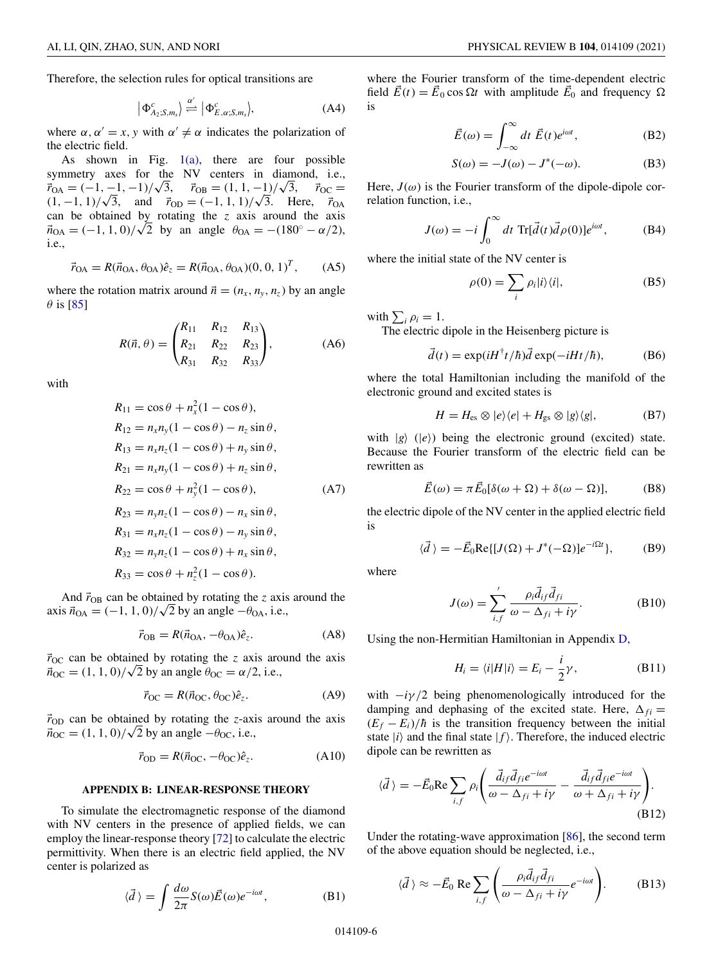<span id="page-5-0"></span>Therefore, the selection rules for optical transitions are

$$
\left| \Phi_{A_2;S,m_s}^c \right| \stackrel{\alpha'}{\rightleftharpoons} \left| \Phi_{E,\alpha;S,m_s}^c \right\rangle, \tag{A4}
$$

where  $\alpha$ ,  $\alpha' = x$ , *y* with  $\alpha' \neq \alpha$  indicates the polarization of the electric field.

As shown in Fig.  $1(a)$ , there are four possible symmetry axes for the NV centers in diamond, i.e.,<br> $\vec{r}_{OA} = (-1, -1, -1)/\sqrt{3}$ ,  $\vec{r}_{OB} = (1, 1, -1)/\sqrt{3}$ ,  $\vec{r}_{OC} =$ symmetry axes for the NV centers in d<br>  $\vec{r}_{OA} = (-1, -1, -1)/\sqrt{3}$ ,  $\vec{r}_{OB} = (1, 1, -1)/\sqrt{3}$  $\vec{r}_{\rm OC} =$  $r_{OA} = (-1, -1, -1)/\sqrt{3}$ ,  $r_{OB} = (1, 1, -1)/\sqrt{3}$ ,  $r_{OC} = (1, -1, 1)/\sqrt{3}$ , and  $\vec{r}_{OD} = (-1, 1, 1)/\sqrt{3}$ . Here,  $\vec{r}_{OA}$ can be obtained by rotating the *z* axis around the axis can be obtained by rotating the *z* axis around the axis  $\vec{n}_{OA} = (-1, 1, 0)/\sqrt{2}$  by an angle  $\theta_{OA} = -(180° - \alpha/2)$ , i.e.,

$$
\vec{r}_{OA} = R(\vec{n}_{OA}, \theta_{OA})\hat{e}_z = R(\vec{n}_{OA}, \theta_{OA})(0, 0, 1)^T, \quad (A5)
$$

where the rotation matrix around  $\vec{n} = (n_x, n_y, n_z)$  by an angle  $\theta$  is [\[85\]](#page-9-0)

$$
R(\vec{n}, \theta) = \begin{pmatrix} R_{11} & R_{12} & R_{13} \\ R_{21} & R_{22} & R_{23} \\ R_{31} & R_{32} & R_{33} \end{pmatrix},
$$
 (A6)

with

$$
R_{11} = \cos \theta + n_x^2 (1 - \cos \theta),
$$
  
\n
$$
R_{12} = n_x n_y (1 - \cos \theta) - n_z \sin \theta,
$$
  
\n
$$
R_{13} = n_x n_z (1 - \cos \theta) + n_y \sin \theta,
$$
  
\n
$$
R_{21} = n_x n_y (1 - \cos \theta) + n_z \sin \theta,
$$
  
\n
$$
R_{22} = \cos \theta + n_y^2 (1 - \cos \theta),
$$
  
\n
$$
R_{23} = n_y n_z (1 - \cos \theta) - n_x \sin \theta,
$$
  
\n
$$
R_{31} = n_x n_z (1 - \cos \theta) - n_y \sin \theta,
$$
  
\n
$$
R_{32} = n_y n_z (1 - \cos \theta) + n_x \sin \theta,
$$

$$
R_{33} = \cos\theta + n_z^2(1 - \cos\theta).
$$

And  $\vec{r}_{OB}$  can be obtained by rotating the *z* axis around the And  $r_{OB}$  can be obtained by rotating the z axis  $\vec{n}_{OA} = (-1, 1, 0)/\sqrt{2}$  by an angle  $-\theta_{OA}$ , i.e.,

$$
\vec{r}_{\rm OB} = R(\vec{n}_{\rm OA}, -\theta_{\rm OA})\hat{e}_z.
$$
 (A8)

 $\vec{r}_{\text{OC}}$  can be obtained by rotating the *z* axis around the axis  $r_{\text{OC}}$  can be obtained by rotating the *z* axis are  $\vec{n}_{\text{OC}} = (1, 1, 0) / \sqrt{2}$  by an angle  $\theta_{\text{OC}} = \alpha/2$ , i.e.,

$$
\vec{r}_{\rm OC} = R(\vec{n}_{\rm OC}, \theta_{\rm OC}) \hat{e}_z.
$$
 (A9)

 $\vec{r}_{OD}$  can be obtained by rotating the *z*-axis around the axis  $r_{\text{OD}}$  can be obtained by rotating the *z*-axis  $\vec{n}_{\text{OC}} = (1, 1, 0) / \sqrt{2}$  by an angle  $-\theta_{\text{OC}}$ , i.e.,

$$
\vec{r}_{\text{OD}} = R(\vec{n}_{\text{OC}}, -\theta_{\text{OC}})\hat{e}_z. \tag{A10}
$$

### **APPENDIX B: LINEAR-RESPONSE THEORY**

To simulate the electromagnetic response of the diamond with NV centers in the presence of applied fields, we can employ the linear-response theory [\[72\]](#page-9-0) to calculate the electric permittivity. When there is an electric field applied, the NV center is polarized as

$$
\langle \vec{d} \rangle = \int \frac{d\omega}{2\pi} S(\omega) \vec{E}(\omega) e^{-i\omega t}, \tag{B1}
$$

where the Fourier transform of the time-dependent electric field  $\vec{E}(t) = \vec{E}_0 \cos \Omega t$  with amplitude  $\vec{E}_0$  and frequency  $\Omega$ is

$$
\vec{E}(\omega) = \int_{-\infty}^{\infty} dt \; \vec{E}(t)e^{i\omega t},
$$
 (B2)

$$
S(\omega) = -J(\omega) - J^*(-\omega).
$$
 (B3)

Here,  $J(\omega)$  is the Fourier transform of the dipole-dipole correlation function, i.e.,

$$
J(\omega) = -i \int_0^{\infty} dt \operatorname{Tr}[\vec{d}(t)\vec{d}\rho(0)]e^{i\omega t}, \tag{B4}
$$

where the initial state of the NV center is

$$
\rho(0) = \sum_{i} \rho_i |i\rangle\langle i|,\tag{B5}
$$

with  $\sum_i \rho_i = 1$ .

The electric dipole in the Heisenberg picture is

$$
\vec{d}(t) = \exp(iH^{\dagger}t/\hbar)\vec{d}\exp(-iHt/\hbar),
$$
 (B6)

where the total Hamiltonian including the manifold of the electronic ground and excited states is

$$
H = H_{\rm es} \otimes |e\rangle\langle e| + H_{\rm gs} \otimes |g\rangle\langle g|, \tag{B7}
$$

with  $|g\rangle$  ( $|e\rangle$ ) being the electronic ground (excited) state. Because the Fourier transform of the electric field can be rewritten as

$$
\vec{E}(\omega) = \pi \vec{E}_0[\delta(\omega + \Omega) + \delta(\omega - \Omega)], \tag{B8}
$$

the electric dipole of the NV center in the applied electric field is

$$
\langle \vec{d} \rangle = -\vec{E}_0 \text{Re}\{ [J(\Omega) + J^*(-\Omega)]e^{-i\Omega t} \},\tag{B9}
$$

where

$$
J(\omega) = \sum_{i,f}' \frac{\rho_i \vec{d}_{if} \vec{d}_{fi}}{\omega - \Delta_{fi} + i\gamma}.
$$
 (B10)

Using the non-Hermitian Hamiltonian in Appendix [D,](#page-6-0)

$$
H_i = \langle i|H|i\rangle = E_i - \frac{i}{2}\gamma, \tag{B11}
$$

with  $-i\gamma/2$  being phenomenologically introduced for the damping and dephasing of the excited state. Here,  $\Delta_{fi}$  =  $(E_f - E_i)/\hbar$  is the transition frequency between the initial state  $|i\rangle$  and the final state  $|f\rangle$ . Therefore, the induced electric dipole can be rewritten as

$$
\langle \vec{d} \rangle = -\vec{E}_0 \text{Re} \sum_{i,f} \rho_i \left( \frac{\vec{d}_{if} \vec{d}_{fi} e^{-i\omega t}}{\omega - \Delta_{fi} + i\gamma} - \frac{\vec{d}_{if} \vec{d}_{fi} e^{-i\omega t}}{\omega + \Delta_{fi} + i\gamma} \right).
$$
\n(B12)

Under the rotating-wave approximation [\[86\]](#page-9-0), the second term of the above equation should be neglected, i.e.,

$$
\langle \vec{d} \rangle \approx -\vec{E}_0 \text{ Re} \sum_{i,f} \left( \frac{\rho_i \vec{d}_{if} \vec{d}_{fi}}{\omega - \Delta_{fi} + i\gamma} e^{-i\omega t} \right). \tag{B13}
$$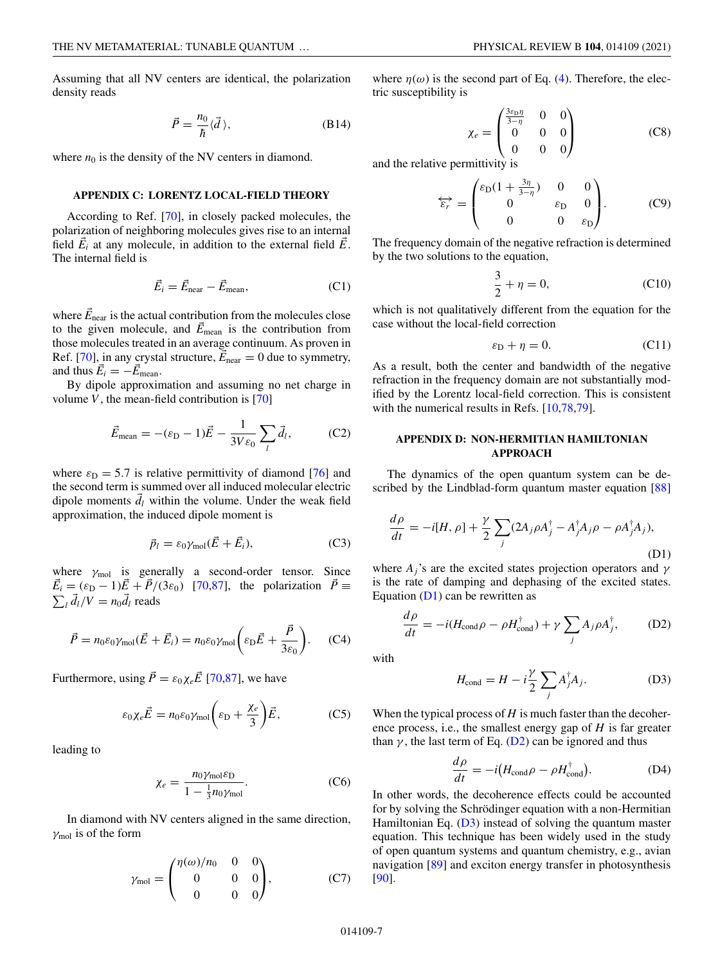<span id="page-6-0"></span>Assuming that all NV centers are identical, the polarization density reads

$$
\vec{P} = \frac{n_0}{\hbar} \langle \vec{d} \rangle, \tag{B14}
$$

where  $n_0$  is the density of the NV centers in diamond.

### **APPENDIX C: LORENTZ LOCAL-FIELD THEORY**

According to Ref. [\[70\]](#page-9-0), in closely packed molecules, the polarization of neighboring molecules gives rise to an internal field  $\vec{E}_i$  at any molecule, in addition to the external field  $\vec{E}$ . The internal field is

$$
\vec{E}_i = \vec{E}_{\text{near}} - \vec{E}_{\text{mean}},\tag{C1}
$$

where  $\vec{E}_{\text{near}}$  is the actual contribution from the molecules close to the given molecule, and  $\vec{E}_{\text{mean}}$  is the contribution from those molecules treated in an average continuum. As proven in Ref. [\[70\]](#page-9-0), in any crystal structure,  $\vec{E}_{\text{near}} = 0$  due to symmetry, and thus  $\vec{E}_i = -\vec{E}_{\text{mean}}$ .

By dipole approximation and assuming no net charge in volume  $V$ , the mean-field contribution is [\[70\]](#page-9-0)

$$
\vec{E}_{\text{mean}} = -(\varepsilon_{\text{D}} - 1)\vec{E} - \frac{1}{3V\varepsilon_0} \sum_{l} \vec{d}_l, \tag{C2}
$$

where  $\varepsilon_D = 5.7$  is relative permittivity of diamond [\[76\]](#page-9-0) and the second term is summed over all induced molecular electric dipole moments  $\vec{d}_l$  within the volume. Under the weak field approximation, the induced dipole moment is

$$
\vec{p}_l = \varepsilon_0 \gamma_{\text{mol}} (\vec{E} + \vec{E}_i), \tag{C3}
$$

where  $\gamma_{\text{mol}}$  is generally a second-order tensor. Since  $\vec{E}_i = (\varepsilon_{\text{D}} - 1)\vec{E} + \vec{P}/(3\varepsilon_0)$  [\[70,87\]](#page-9-0), the polarization  $\vec{P} \equiv$  $\sum_{l} \vec{d}_l/V = n_0 \vec{d}_l$  reads

$$
\vec{P} = n_0 \varepsilon_0 \gamma_{\text{mol}} (\vec{E} + \vec{E}_i) = n_0 \varepsilon_0 \gamma_{\text{mol}} \left( \varepsilon_{\text{D}} \vec{E} + \frac{\vec{P}}{3 \varepsilon_0} \right). \tag{C4}
$$

Furthermore, using  $\vec{P} = \varepsilon_0 \chi_e \vec{E}$  [\[70,87\]](#page-9-0), we have

$$
\varepsilon_0 \chi_e \vec{E} = n_0 \varepsilon_0 \gamma_{\text{mol}} \bigg( \varepsilon_{\text{D}} + \frac{\chi_e}{3} \bigg) \vec{E}, \tag{C5}
$$

leading to

$$
\chi_e = \frac{n_0 \gamma_{\text{mol}} \varepsilon_{\text{D}}}{1 - \frac{1}{3} n_0 \gamma_{\text{mol}}}.
$$
 (C6)

In diamond with NV centers aligned in the same direction,  $\gamma_{\text{mol}}$  is of the form

$$
\gamma_{\text{mol}} = \begin{pmatrix} \eta(\omega)/n_0 & 0 & 0 \\ 0 & 0 & 0 \\ 0 & 0 & 0 \end{pmatrix}, \tag{C7}
$$

where  $\eta(\omega)$  is the second part of Eq. [\(4\)](#page-2-0). Therefore, the electric susceptibility is

$$
\chi_e = \begin{pmatrix} \frac{3\varepsilon_D \eta}{3-\eta} & 0 & 0\\ 0 & 0 & 0\\ 0 & 0 & 0 \end{pmatrix}
$$
 (C8)

and the relative permittivity is

$$
\overleftrightarrow{\varepsilon_r} = \begin{pmatrix} \varepsilon_D (1 + \frac{3\eta}{3 - \eta}) & 0 & 0\\ 0 & \varepsilon_D & 0\\ 0 & 0 & \varepsilon_D \end{pmatrix} . \tag{C9}
$$

The frequency domain of the negative refraction is determined by the two solutions to the equation,

$$
\frac{3}{2} + \eta = 0,\t(C10)
$$

which is not qualitatively different from the equation for the case without the local-field correction

$$
\varepsilon_{\rm D} + \eta = 0. \tag{C11}
$$

As a result, both the center and bandwidth of the negative refraction in the frequency domain are not substantially modified by the Lorentz local-field correction. This is consistent with the numerical results in Refs.  $[10,78,79]$  $[10,78,79]$ .

## **APPENDIX D: NON-HERMITIAN HAMILTONIAN APPROACH**

The dynamics of the open quantum system can be described by the Lindblad-form quantum master equation [\[88\]](#page-9-0)

$$
\frac{d\rho}{dt} = -i[H, \rho] + \frac{\gamma}{2} \sum_{j} (2A_j \rho A_j^{\dagger} - A_j^{\dagger} A_j \rho - \rho A_j^{\dagger} A_j),
$$
\n(D1)

where  $A_i$ 's are the excited states projection operators and  $\gamma$ is the rate of damping and dephasing of the excited states. Equation  $(D1)$  can be rewritten as

$$
\frac{d\rho}{dt} = -i(H_{\text{cond}}\rho - \rho H_{\text{cond}}^{\dagger}) + \gamma \sum_{j} A_{j}\rho A_{j}^{\dagger},
$$
 (D2)

with

$$
H_{\text{cond}} = H - i\frac{\gamma}{2} \sum_{j} A_{j}^{\dagger} A_{j}.
$$
 (D3)

When the typical process of *H* is much faster than the decoherence process, i.e., the smallest energy gap of *H* is far greater than  $\gamma$ , the last term of Eq. (D2) can be ignored and thus

$$
\frac{d\rho}{dt} = -i\big(H_{\text{cond}}\rho - \rho H_{\text{cond}}^{\dagger}\big). \tag{D4}
$$

In other words, the decoherence effects could be accounted for by solving the Schrödinger equation with a non-Hermitian Hamiltonian Eq.  $(D3)$  instead of solving the quantum master equation. This technique has been widely used in the study of open quantum systems and quantum chemistry, e.g., avian navigation [\[89\]](#page-9-0) and exciton energy transfer in photosynthesis [\[90\]](#page-9-0).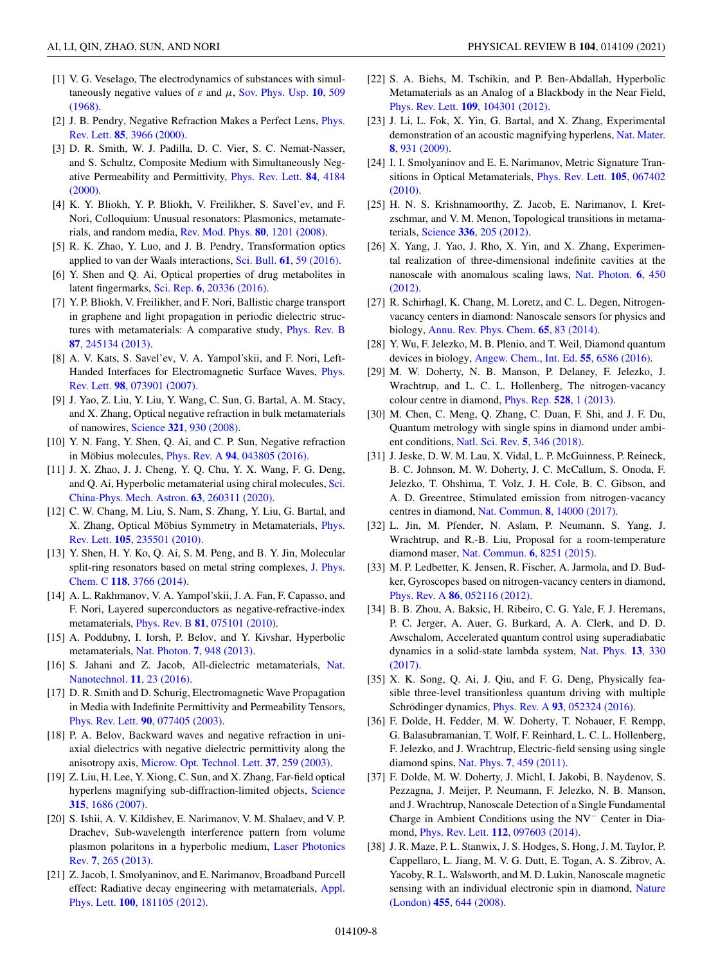- <span id="page-7-0"></span>[1] V. G. Veselago, The electrodynamics of substances with simul[taneously negative values of](https://doi.org/10.1070/PU1968v010n04ABEH003699)  $\varepsilon$  and  $\mu$ , Sov. Phys. Usp. 10, 509 (1968).
- [2] [J. B. Pendry, Negative Refraction Makes a Perfect Lens,](https://doi.org/10.1103/PhysRevLett.85.3966) *Phys.* Rev. Lett. **85**, 3966 (2000).
- [3] D. R. Smith, W. J. Padilla, D. C. Vier, S. C. Nemat-Nasser, and S. Schultz, Composite Medium with Simultaneously Neg[ative Permeability and Permittivity,](https://doi.org/10.1103/PhysRevLett.84.4184) Phys. Rev. Lett. **84**, 4184 (2000).
- [4] K. Y. Bliokh, Y. P. Bliokh, V. Freilikher, S. Savel'ev, and F. Nori, Colloquium: Unusual resonators: Plasmonics, metamaterials, and random media, [Rev. Mod. Phys.](https://doi.org/10.1103/RevModPhys.80.1201) **80**, 1201 (2008).
- [5] R. K. Zhao, Y. Luo, and J. B. Pendry, Transformation optics applied to van der Waals interactions, Sci. Bull. **61**[, 59 \(2016\).](https://doi.org/10.1007/s11434-015-0958-x)
- [6] Y. Shen and Q. Ai, Optical properties of drug metabolites in latent fingermarks, Sci. Rep. **6**[, 20336 \(2016\).](https://doi.org/10.1038/srep20336)
- [7] Y. P. Bliokh, V. Freilikher, and F. Nori, Ballistic charge transport in graphene and light propagation in periodic dielectric struc[tures with metamaterials: A comparative study,](https://doi.org/10.1103/PhysRevB.87.245134) Phys. Rev. B **87**, 245134 (2013).
- [8] A. V. Kats, S. Savel'ev, V. A. Yampol'skii, and F. Nori, Left-[Handed Interfaces for Electromagnetic Surface Waves,](https://doi.org/10.1103/PhysRevLett.98.073901) Phys. Rev. Lett. **98**, 073901 (2007).
- [9] J. Yao, Z. Liu, Y. Liu, Y. Wang, C. Sun, G. Bartal, A. M. Stacy, and X. Zhang, Optical negative refraction in bulk metamaterials of nanowires, Science **321**[, 930 \(2008\).](https://doi.org/10.1126/science.1157566)
- [10] Y. N. Fang, Y. Shen, Q. Ai, and C. P. Sun, Negative refraction in Möbius molecules, Phys. Rev. A **94**[, 043805 \(2016\).](https://doi.org/10.1103/PhysRevA.94.043805)
- [11] J. X. Zhao, J. J. Cheng, Y. Q. Chu, Y. X. Wang, F. G. Deng, [and Q. Ai, Hyperbolic metamaterial using chiral molecules,](https://doi.org/10.1007/s11433-019-1470-6) Sci. China-Phys. Mech. Astron. **63**, 260311 (2020).
- [12] C. W. Chang, M. Liu, S. Nam, S. Zhang, Y. Liu, G. Bartal, and [X. Zhang, Optical Möbius Symmetry in Metamaterials,](https://doi.org/10.1103/PhysRevLett.105.235501) Phys. Rev. Lett. **105**, 235501 (2010).
- [13] Y. Shen, H. Y. Ko, Q. Ai, S. M. Peng, and B. Y. Jin, Molecular [split-ring resonators based on metal string complexes,](https://doi.org/10.1021/jp410619d) J. Phys. Chem. C **118**, 3766 (2014).
- [14] A. L. Rakhmanov, V. A. Yampol'skii, J. A. Fan, F. Capasso, and F. Nori, Layered superconductors as negative-refractive-index metamaterials, Phys. Rev. B **81**[, 075101 \(2010\).](https://doi.org/10.1103/PhysRevB.81.075101)
- [15] A. Poddubny, I. Iorsh, P. Belov, and Y. Kivshar, Hyperbolic metamaterials, Nat. Photon. **7**[, 948 \(2013\).](https://doi.org/10.1038/nphoton.2013.243)
- [16] [S. Jahani and Z. Jacob, All-dielectric metamaterials,](https://doi.org/10.1038/nnano.2015.304) Nat. Nanotechnol. **11**, 23 (2016).
- [17] D. R. Smith and D. Schurig, Electromagnetic Wave Propagation in Media with Indefinite Permittivity and Permeability Tensors, Phys. Rev. Lett. **90**[, 077405 \(2003\).](https://doi.org/10.1103/PhysRevLett.90.077405)
- [18] P. A. Belov, Backward waves and negative refraction in uniaxial dielectrics with negative dielectric permittivity along the anisotropy axis, [Microw. Opt. Technol. Lett.](https://doi.org/10.1002/mop.10887) **37**, 259 (2003).
- [19] Z. Liu, H. Lee, Y. Xiong, C. Sun, and X. Zhang, Far-field optical [hyperlens magnifying sub-diffraction-limited objects,](https://doi.org/10.1126/science.1137368) Science **315**, 1686 (2007).
- [20] S. Ishii, A. V. Kildishev, E. Narimanov, V. M. Shalaev, and V. P. Drachev, Sub-wavelength interference pattern from volume [plasmon polaritons in a hyperbolic medium,](https://doi.org/10.1002/lpor.201200095) Laser Photonics Rev. **7**, 265 (2013).
- [21] Z. Jacob, I. Smolyaninov, and E. Narimanov, Broadband Purcell [effect: Radiative decay engineering with metamaterials,](https://doi.org/10.1063/1.4710548) Appl. Phys. Lett. **100**, 181105 (2012).
- [22] S. A. Biehs, M. Tschikin, and P. Ben-Abdallah, Hyperbolic Metamaterials as an Analog of a Blackbody in the Near Field, Phys. Rev. Lett. **109**[, 104301 \(2012\).](https://doi.org/10.1103/PhysRevLett.109.104301)
- [23] J. Li, L. Fok, X. Yin, G. Bartal, and X. Zhang, Experimental [demonstration of an acoustic magnifying hyperlens,](https://doi.org/10.1038/nmat2561) Nat. Mater. **8**, 931 (2009).
- [24] I. I. Smolyaninov and E. E. Narimanov, Metric Signature Tran[sitions in Optical Metamaterials,](https://doi.org/10.1103/PhysRevLett.105.067402) Phys. Rev. Lett. **105**, 067402 (2010).
- [25] H. N. S. Krishnamoorthy, Z. Jacob, E. Narimanov, I. Kretzschmar, and V. M. Menon, Topological transitions in metamaterials, Science **336**[, 205 \(2012\).](https://doi.org/10.1126/science.1219171)
- [26] X. Yang, J. Yao, J. Rho, X. Yin, and X. Zhang, Experimental realization of three-dimensional indefinite cavities at the [nanoscale with anomalous scaling laws,](https://doi.org/10.1038/nphoton.2012.124) Nat. Photon. **6**, 450 (2012).
- [27] R. Schirhagl, K. Chang, M. Loretz, and C. L. Degen, Nitrogenvacancy centers in diamond: Nanoscale sensors for physics and biology, [Annu. Rev. Phys. Chem.](https://doi.org/10.1146/annurev-physchem-040513-103659) **65**, 83 (2014).
- [28] Y. Wu, F. Jelezko, M. B. Plenio, and T. Weil, Diamond quantum devices in biology, [Angew. Chem., Int. Ed.](https://doi.org/10.1002/anie.201506556) **55**, 6586 (2016).
- [29] M. W. Doherty, N. B. Manson, P. Delaney, F. Jelezko, J. Wrachtrup, and L. C. L. Hollenberg, The nitrogen-vacancy colour centre in diamond, [Phys. Rep.](https://doi.org/10.1016/j.physrep.2013.02.001) **528**, 1 (2013).
- [30] M. Chen, C. Meng, Q. Zhang, C. Duan, F. Shi, and J. F. Du, Quantum metrology with single spins in diamond under ambient conditions, [Natl. Sci. Rev.](https://doi.org/10.1093/nsr/nwx121) **5**, 346 (2018).
- [31] J. Jeske, D. W. M. Lau, X. Vidal, L. P. McGuinness, P. Reineck, B. C. Johnson, M. W. Doherty, J. C. McCallum, S. Onoda, F. Jelezko, T. Ohshima, T. Volz, J. H. Cole, B. C. Gibson, and A. D. Greentree, Stimulated emission from nitrogen-vacancy centres in diamond, Nat. Commun. **8**[, 14000 \(2017\).](https://doi.org/10.1038/ncomms14000)
- [32] L. Jin, M. Pfender, N. Aslam, P. Neumann, S. Yang, J. Wrachtrup, and R.-B. Liu, Proposal for a room-temperature diamond maser, [Nat. Commun.](https://doi.org/10.1038/ncomms9251) **6**, 8251 (2015).
- [33] M. P. Ledbetter, K. Jensen, R. Fischer, A. Jarmola, and D. Budker, Gyroscopes based on nitrogen-vacancy centers in diamond, Phys. Rev. A **86**[, 052116 \(2012\).](https://doi.org/10.1103/PhysRevA.86.052116)
- [34] B. B. Zhou, A. Baksic, H. Ribeiro, C. G. Yale, F. J. Heremans, P. C. Jerger, A. Auer, G. Burkard, A. A. Clerk, and D. D. Awschalom, Accelerated quantum control using superadiabatic [dynamics in a solid-state lambda system,](https://doi.org/10.1038/nphys3967) Nat. Phys. **13**, 330 (2017).
- [35] X. K. Song, Q. Ai, J. Qiu, and F. G. Deng, Physically feasible three-level transitionless quantum driving with multiple Schrödinger dynamics, Phys. Rev. A **93**[, 052324 \(2016\).](https://doi.org/10.1103/PhysRevA.93.052324)
- [36] F. Dolde, H. Fedder, M. W. Doherty, T. Nobauer, F. Rempp, G. Balasubramanian, T. Wolf, F. Reinhard, L. C. L. Hollenberg, F. Jelezko, and J. Wrachtrup, Electric-field sensing using single diamond spins, Nat. Phys. **7**[, 459 \(2011\).](https://doi.org/10.1038/nphys1969)
- [37] F. Dolde, M. W. Doherty, J. Michl, I. Jakobi, B. Naydenov, S. Pezzagna, J. Meijer, P. Neumann, F. Jelezko, N. B. Manson, and J. Wrachtrup, Nanoscale Detection of a Single Fundamental Charge in Ambient Conditions using the NV<sup>−</sup> Center in Diamond, Phys. Rev. Lett. **112**[, 097603 \(2014\).](https://doi.org/10.1103/PhysRevLett.112.097603)
- [38] J. R. Maze, P. L. Stanwix, J. S. Hodges, S. Hong, J. M. Taylor, P. Cappellaro, L. Jiang, M. V. G. Dutt, E. Togan, A. S. Zibrov, A. Yacoby, R. L. Walsworth, and M. D. Lukin, Nanoscale magnetic [sensing with an individual electronic spin in diamond,](https://doi.org/10.1038/nature07279) Nature (London) **455**, 644 (2008).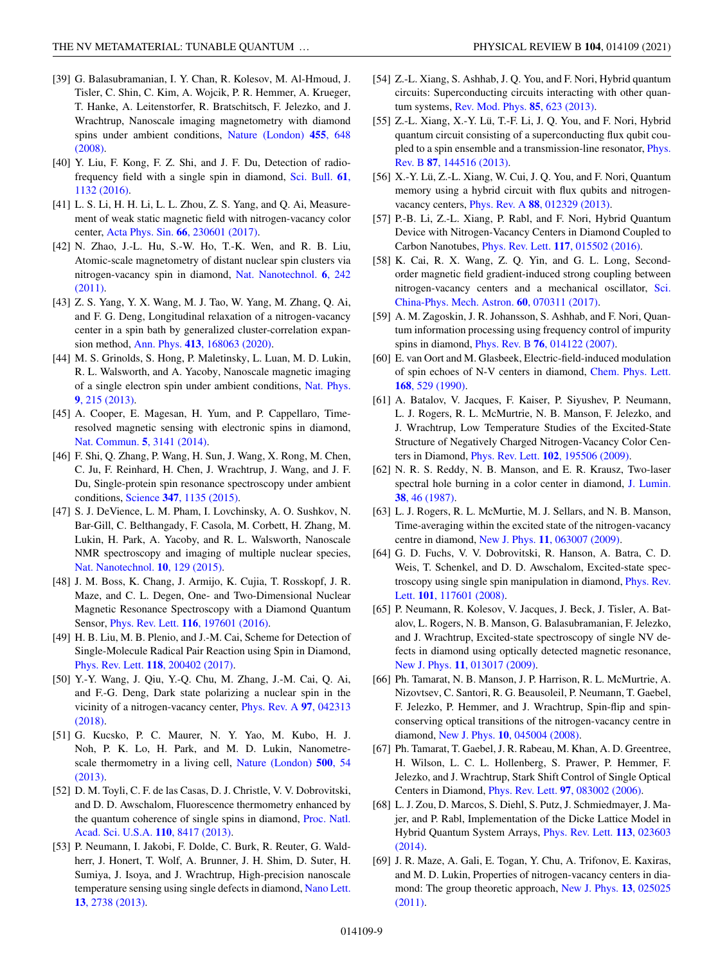- <span id="page-8-0"></span>[39] G. Balasubramanian, I. Y. Chan, R. Kolesov, M. Al-Hmoud, J. Tisler, C. Shin, C. Kim, A. Wojcik, P. R. Hemmer, A. Krueger, T. Hanke, A. Leitenstorfer, R. Bratschitsch, F. Jelezko, and J. Wrachtrup, Nanoscale imaging magnetometry with diamond [spins under ambient conditions,](https://doi.org/10.1038/nature07278) Nature (London) **455**, 648 (2008).
- [40] Y. Liu, F. Kong, F. Z. Shi, and J. F. Du, Detection of radio[frequency field with a single spin in diamond,](https://doi.org/10.1007/s11434-016-1122-y) Sci. Bull. **61**, 1132 (2016).
- [41] L. S. Li, H. H. Li, L. L. Zhou, Z. S. Yang, and Q. Ai, Measurement of weak static magnetic field with nitrogen-vacancy color center, Acta Phys. Sin. **66**[, 230601 \(2017\).](https://doi.org/10.7498/aps.66.230601)
- [42] N. Zhao, J.-L. Hu, S.-W. Ho, T.-K. Wen, and R. B. Liu, Atomic-scale magnetometry of distant nuclear spin clusters via [nitrogen-vacancy spin in diamond,](https://doi.org/10.1038/nnano.2011.22) Nat. Nanotechnol. **6**, 242 (2011).
- [43] Z. S. Yang, Y. X. Wang, M. J. Tao, W. Yang, M. Zhang, Q. Ai, and F. G. Deng, Longitudinal relaxation of a nitrogen-vacancy center in a spin bath by generalized cluster-correlation expansion method, Ann. Phys. **413**[, 168063 \(2020\).](https://doi.org/10.1016/j.aop.2019.168063)
- [44] M. S. Grinolds, S. Hong, P. Maletinsky, L. Luan, M. D. Lukin, R. L. Walsworth, and A. Yacoby, Nanoscale magnetic imaging [of a single electron spin under ambient conditions,](https://doi.org/10.1038/nphys2543) Nat. Phys. **9**, 215 (2013).
- [45] A. Cooper, E. Magesan, H. Yum, and P. Cappellaro, Timeresolved magnetic sensing with electronic spins in diamond, [Nat. Commun.](https://doi.org/10.1038/ncomms4141) **5**, 3141 (2014).
- [46] F. Shi, Q. Zhang, P. Wang, H. Sun, J. Wang, X. Rong, M. Chen, C. Ju, F. Reinhard, H. Chen, J. Wrachtrup, J. Wang, and J. F. Du, Single-protein spin resonance spectroscopy under ambient conditions, Science **347**[, 1135 \(2015\).](https://doi.org/10.1126/science.aaa2253)
- [47] S. J. DeVience, L. M. Pham, I. Lovchinsky, A. O. Sushkov, N. Bar-Gill, C. Belthangady, F. Casola, M. Corbett, H. Zhang, M. Lukin, H. Park, A. Yacoby, and R. L. Walsworth, Nanoscale NMR spectroscopy and imaging of multiple nuclear species, [Nat. Nanotechnol.](https://doi.org/10.1038/nnano.2014.313) **10**, 129 (2015).
- [48] J. M. Boss, K. Chang, J. Armijo, K. Cujia, T. Rosskopf, J. R. Maze, and C. L. Degen, One- and Two-Dimensional Nuclear Magnetic Resonance Spectroscopy with a Diamond Quantum Sensor, Phys. Rev. Lett. **116**[, 197601 \(2016\).](https://doi.org/10.1103/PhysRevLett.116.197601)
- [49] H. B. Liu, M. B. Plenio, and J.-M. Cai, Scheme for Detection of Single-Molecule Radical Pair Reaction using Spin in Diamond, Phys. Rev. Lett. **118**[, 200402 \(2017\).](https://doi.org/10.1103/PhysRevLett.118.200402)
- [50] Y.-Y. Wang, J. Qiu, Y.-Q. Chu, M. Zhang, J.-M. Cai, Q. Ai, and F.-G. Deng, Dark state polarizing a nuclear spin in the [vicinity of a nitrogen-vacancy center,](https://doi.org/10.1103/PhysRevA.97.042313) Phys. Rev. A **97**, 042313 (2018).
- [51] G. Kucsko, P. C. Maurer, N. Y. Yao, M. Kubo, H. J. Noh, P. K. Lo, H. Park, and M. D. Lukin, Nanometre[scale thermometry in a living cell,](https://doi.org/10.1038/nature12373) Nature (London) **500**, 54 (2013).
- [52] D. M. Toyli, C. F. de las Casas, D. J. Christle, V. V. Dobrovitski, and D. D. Awschalom, Fluorescence thermometry enhanced by [the quantum coherence of single spins in diamond,](https://doi.org/10.1073/pnas.1306825110) Proc. Natl. Acad. Sci. U.S.A. **110**, 8417 (2013).
- [53] P. Neumann, I. Jakobi, F. Dolde, C. Burk, R. Reuter, G. Waldherr, J. Honert, T. Wolf, A. Brunner, J. H. Shim, D. Suter, H. Sumiya, J. Isoya, and J. Wrachtrup, High-precision nanoscale [temperature sensing using single defects in diamond,](https://doi.org/10.1021/nl401216y) Nano Lett. **13**, 2738 (2013).
- [54] Z.-L. Xiang, S. Ashhab, J. Q. You, and F. Nori, Hybrid quantum circuits: Superconducting circuits interacting with other quantum systems, [Rev. Mod. Phys.](https://doi.org/10.1103/RevModPhys.85.623) **85**, 623 (2013).
- [55] Z.-L. Xiang, X.-Y. Lü, T.-F. Li, J. Q. You, and F. Nori, Hybrid quantum circuit consisting of a superconducting flux qubit cou[pled to a spin ensemble and a transmission-line resonator,](https://doi.org/10.1103/PhysRevB.87.144516) Phys. Rev. B **87**, 144516 (2013).
- [56] X.-Y. Lü, Z.-L. Xiang, W. Cui, J. Q. You, and F. Nori, Quantum memory using a hybrid circuit with flux qubits and nitrogenvacancy centers, Phys. Rev. A **88**[, 012329 \(2013\).](https://doi.org/10.1103/PhysRevA.88.012329)
- [57] P.-B. Li, Z.-L. Xiang, P. Rabl, and F. Nori, Hybrid Quantum Device with Nitrogen-Vacancy Centers in Diamond Coupled to Carbon Nanotubes, Phys. Rev. Lett. **117**[, 015502 \(2016\).](https://doi.org/10.1103/PhysRevLett.117.015502)
- [58] K. Cai, R. X. Wang, Z. Q. Yin, and G. L. Long, Secondorder magnetic field gradient-induced strong coupling between [nitrogen-vacancy centers and a mechanical oscillator,](https://doi.org/10.1007/s11433-017-9039-0) Sci. China-Phys. Mech. Astron. **60**, 070311 (2017).
- [59] A. M. Zagoskin, J. R. Johansson, S. Ashhab, and F. Nori, Quantum information processing using frequency control of impurity spins in diamond, Phys. Rev. B **76**[, 014122 \(2007\).](https://doi.org/10.1103/PhysRevB.76.014122)
- [60] E. van Oort and M. Glasbeek, Electric-field-induced modulation [of spin echoes of N-V centers in diamond,](https://doi.org/10.1016/0009-2614(90)85665-Y) Chem. Phys. Lett. **168**, 529 (1990).
- [61] A. Batalov, V. Jacques, F. Kaiser, P. Siyushev, P. Neumann, L. J. Rogers, R. L. McMurtrie, N. B. Manson, F. Jelezko, and J. Wrachtrup, Low Temperature Studies of the Excited-State Structure of Negatively Charged Nitrogen-Vacancy Color Centers in Diamond, Phys. Rev. Lett. **102**[, 195506 \(2009\).](https://doi.org/10.1103/PhysRevLett.102.195506)
- [62] N. R. S. Reddy, N. B. Manson, and E. R. Krausz, Two-laser [spectral hole burning in a color center in diamond,](https://doi.org/10.1016/0022-2313(87)90057-3) J. Lumin. **38**, 46 (1987).
- [63] L. J. Rogers, R. L. McMurtie, M. J. Sellars, and N. B. Manson, Time-averaging within the excited state of the nitrogen-vacancy centre in diamond, New J. Phys. **11**[, 063007 \(2009\).](https://doi.org/10.1088/1367-2630/11/6/063007)
- [64] G. D. Fuchs, V. V. Dobrovitski, R. Hanson, A. Batra, C. D. Weis, T. Schenkel, and D. D. Awschalom, Excited-state spec[troscopy using single spin manipulation in diamond,](https://doi.org/10.1103/PhysRevLett.101.117601) Phys. Rev. Lett. **101**, 117601 (2008).
- [65] P. Neumann, R. Kolesov, V. Jacques, J. Beck, J. Tisler, A. Batalov, L. Rogers, N. B. Manson, G. Balasubramanian, F. Jelezko, and J. Wrachtrup, Excited-state spectroscopy of single NV defects in diamond using optically detected magnetic resonance, New J. Phys. **11**[, 013017 \(2009\).](https://doi.org/10.1088/1367-2630/11/1/013017)
- [66] Ph. Tamarat, N. B. Manson, J. P. Harrison, R. L. McMurtrie, A. Nizovtsev, C. Santori, R. G. Beausoleil, P. Neumann, T. Gaebel, F. Jelezko, P. Hemmer, and J. Wrachtrup, Spin-flip and spinconserving optical transitions of the nitrogen-vacancy centre in diamond, New J. Phys. **10**[, 045004 \(2008\).](https://doi.org/10.1088/1367-2630/10/4/045004)
- [67] Ph. Tamarat, T. Gaebel, J. R. Rabeau, M. Khan, A. D. Greentree, H. Wilson, L. C. L. Hollenberg, S. Prawer, P. Hemmer, F. Jelezko, and J. Wrachtrup, Stark Shift Control of Single Optical Centers in Diamond, Phys. Rev. Lett. **97**[, 083002 \(2006\).](https://doi.org/10.1103/PhysRevLett.97.083002)
- [68] L. J. Zou, D. Marcos, S. Diehl, S. Putz, J. Schmiedmayer, J. Majer, and P. Rabl, Implementation of the Dicke Lattice Model in [Hybrid Quantum System Arrays,](https://doi.org/10.1103/PhysRevLett.113.023603) Phys. Rev. Lett. **113**, 023603 (2014).
- [69] J. R. Maze, A. Gali, E. Togan, Y. Chu, A. Trifonov, E. Kaxiras, and M. D. Lukin, Properties of nitrogen-vacancy centers in dia[mond: The group theoretic approach,](https://doi.org/10.1088/1367-2630/13/2/025025) New J. Phys. **13**, 025025 (2011).